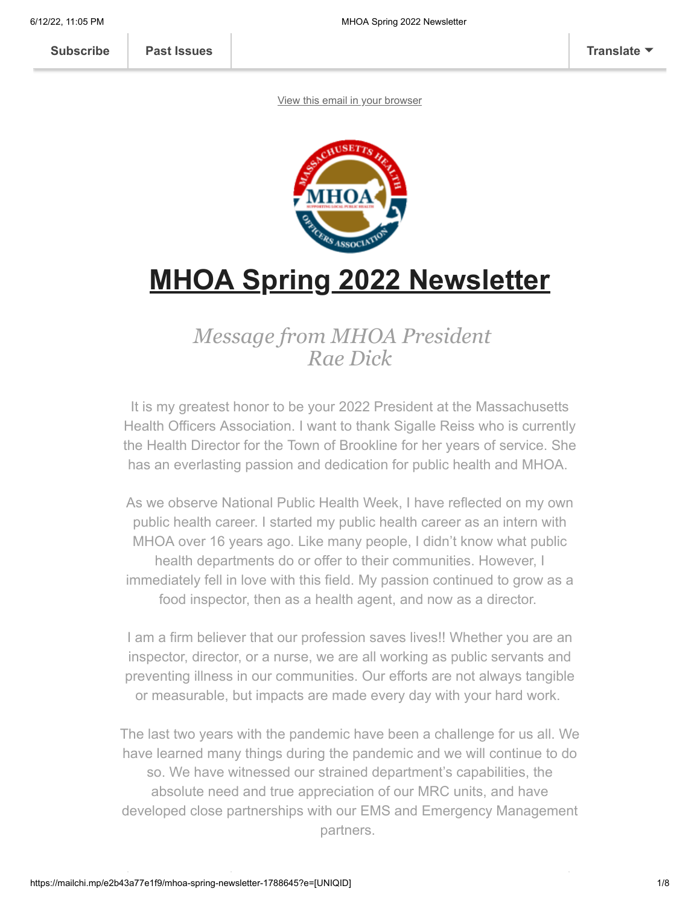**[Subscribe](http://eepurl.com/djcbLb) [Past Issues](https://us3.campaign-archive.com/home/?u=a1b0f89bb03fdc185f0b23f1a&id=df77b89c12) [Translate](javascript:;)**

[View this email in your browser](https://mailchi.mp/e2b43a77e1f9/mhoa-spring-newsletter-1788645?e=[UNIQID])



# **MHOA Spring 2022 Newsletter**

# *Message from MHOA President Rae Dick*

It is my greatest honor to be your 2022 President at the Massachusetts Health Officers Association. I want to thank Sigalle Reiss who is currently the Health Director for the Town of Brookline for her years of service. She has an everlasting passion and dedication for public health and MHOA.

As we observe National Public Health Week, I have reflected on my own public health career. I started my public health career as an intern with MHOA over 16 years ago. Like many people, I didn't know what public health departments do or offer to their communities. However, I immediately fell in love with this field. My passion continued to grow as a food inspector, then as a health agent, and now as a director.

I am a firm believer that our profession saves lives!! Whether you are an inspector, director, or a nurse, we are all working as public servants and preventing illness in our communities. Our efforts are not always tangible or measurable, but impacts are made every day with your hard work.

The last two years with the pandemic have been a challenge for us all. We have learned many things during the pandemic and we will continue to do so. We have witnessed our strained department's capabilities, the absolute need and true appreciation of our MRC units, and have developed close partnerships with our EMS and Emergency Management partners.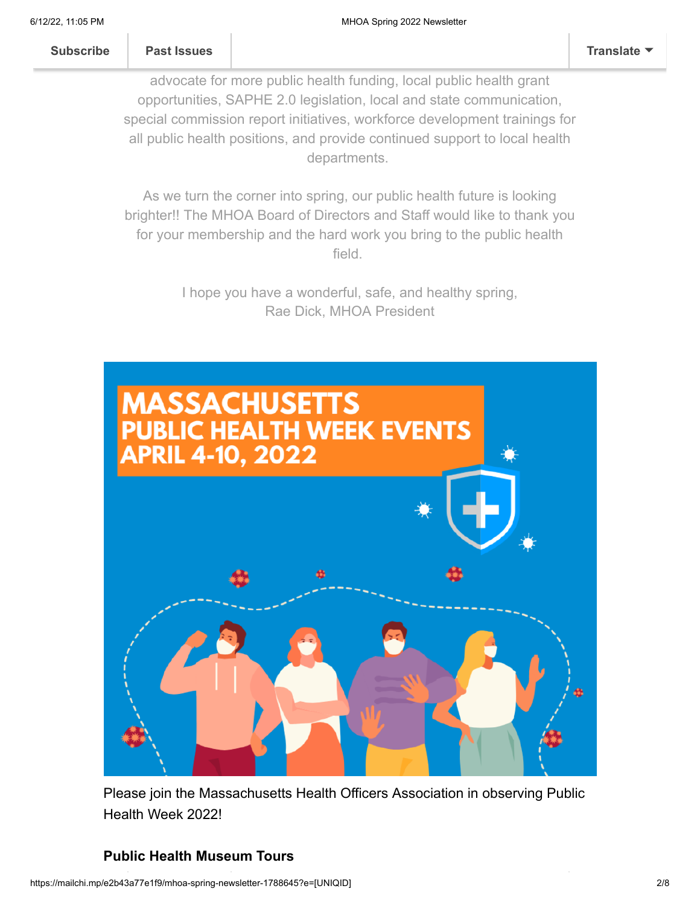advocate for more public health funding, local public health grant opportunities, SAPHE 2.0 legislation, local and state communication, special commission report initiatives, workforce development trainings for all public health positions, and provide continued support to local health departments.

background for all our public health members. We have and continue to the continue to the continue to the continue

As we turn the corner into spring, our public health future is looking brighter!! The MHOA Board of Directors and Staff would like to thank you for your membership and the hard work you bring to the public health field.

> I hope you have a wonderful, safe, and healthy spring, Rae Dick, MHOA President



Please join the Massachusetts Health Officers Association in observing Public Health Week 2022!

# **Public Health Museum Tours**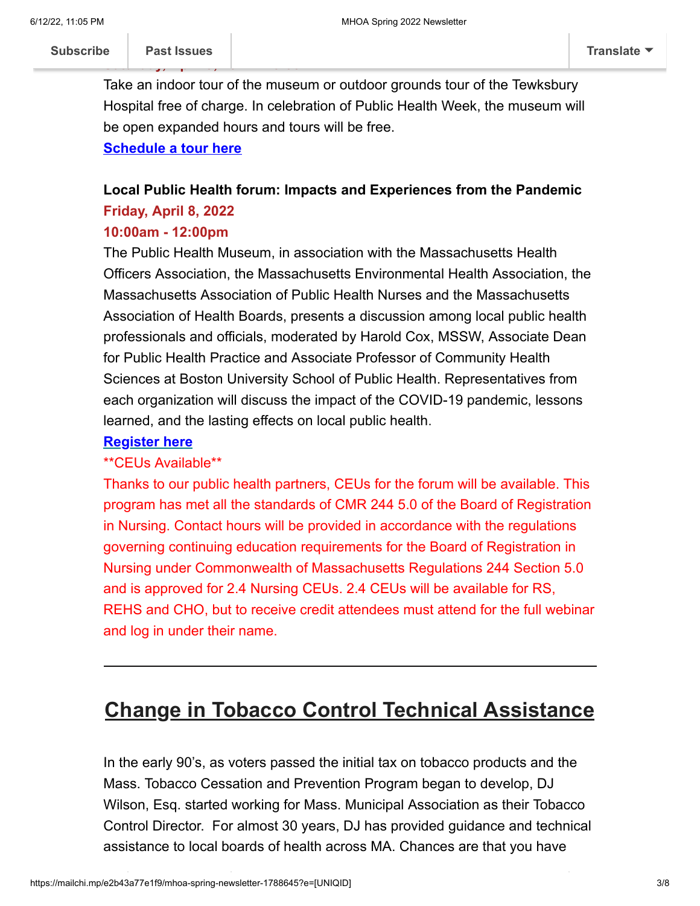**Saturday, April 9, 2022 - 10:00AM**

Take an indoor tour of the museum or outdoor grounds tour of the Tewksbury Hospital free of charge. In celebration of Public Health Week, the museum will be open expanded hours and tours will be free.

#### **[Schedule a tour here](https://www.publichealthmuseum.org/visit-us.html)**

# **Local Public Health forum: Impacts and Experiences from the Pandemic Friday, April 8, 2022**

#### **10:00am - 12:00pm**

The Public Health Museum, in association with the Massachusetts Health Officers Association, the Massachusetts Environmental Health Association, the Massachusetts Association of Public Health Nurses and the Massachusetts Association of Health Boards, presents a discussion among local public health professionals and officials, moderated by Harold Cox, MSSW, Associate Dean for Public Health Practice and Associate Professor of Community Health Sciences at Boston University School of Public Health. Representatives from each organization will discuss the impact of the COVID-19 pandemic, lessons learned, and the lasting effects on local public health.

#### **[Register here](https://us06web.zoom.us/webinar/register/WN_3H_QpPMcQ5m3lU3PU9DUrQ?_x_zm_rtaid=E98R6BINS92-6vZsBr2Y5Q.1649087231260.3171eaa489d7ab17398b311ffc7038b6&_x_zm_rhtaid=356)**

#### \*\*CEUs Available\*\*

Thanks to our public health partners, CEUs for the forum will be available. This program has met all the standards of CMR 244 5.0 of the Board of Registration in Nursing. Contact hours will be provided in accordance with the regulations governing continuing education requirements for the Board of Registration in Nursing under Commonwealth of Massachusetts Regulations 244 Section 5.0 and is approved for 2.4 Nursing CEUs. 2.4 CEUs will be available for RS, REHS and CHO, but to receive credit attendees must attend for the full webinar and log in under their name.

# **Change in Tobacco Control Technical Assistance**

In the early 90's, as voters passed the initial tax on tobacco products and the Mass. Tobacco Cessation and Prevention Program began to develop, DJ Wilson, Esq. started working for Mass. Municipal Association as their Tobacco Control Director. For almost 30 years, DJ has provided guidance and technical assistance to local boards of health across MA. Chances are that you have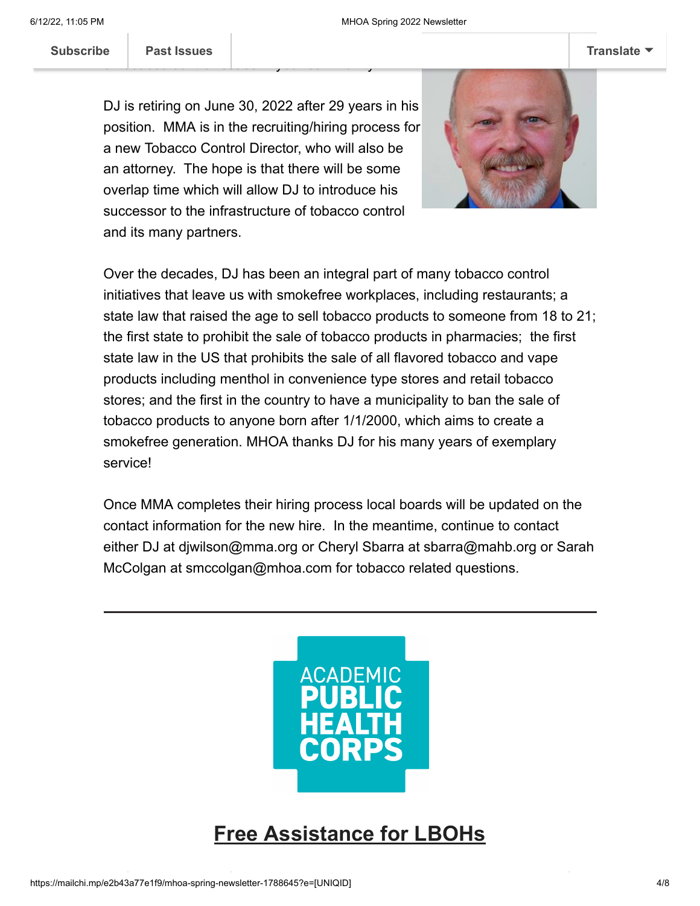Subscribe **Past Issues** 

of tobacco control issues in your community.

DJ is retiring on June 30, 2022 after 29 years in his position. MMA is in the recruiting/hiring process for a new Tobacco Control Director, who will also be an attorney. The hope is that there will be some overlap time which will allow DJ to introduce his successor to the infrastructure of tobacco control and its many partners.



Over the decades, DJ has been an integral part of many tobacco control initiatives that leave us with smokefree workplaces, including restaurants; a state law that raised the age to sell tobacco products to someone from 18 to 21; the first state to prohibit the sale of tobacco products in pharmacies; the first state law in the US that prohibits the sale of all flavored tobacco and vape products including menthol in convenience type stores and retail tobacco stores; and the first in the country to have a municipality to ban the sale of tobacco products to anyone born after 1/1/2000, which aims to create a smokefree generation. MHOA thanks DJ for his many years of exemplary service!

Once MMA completes their hiring process local boards will be updated on the contact information for the new hire. In the meantime, continue to contact either DJ at djwilson@mma.org or Cheryl Sbarra at sbarra@mahb.org or Sarah McColgan at smccolgan@mhoa.com for tobacco related questions.



**Free Assistance for LBOHs**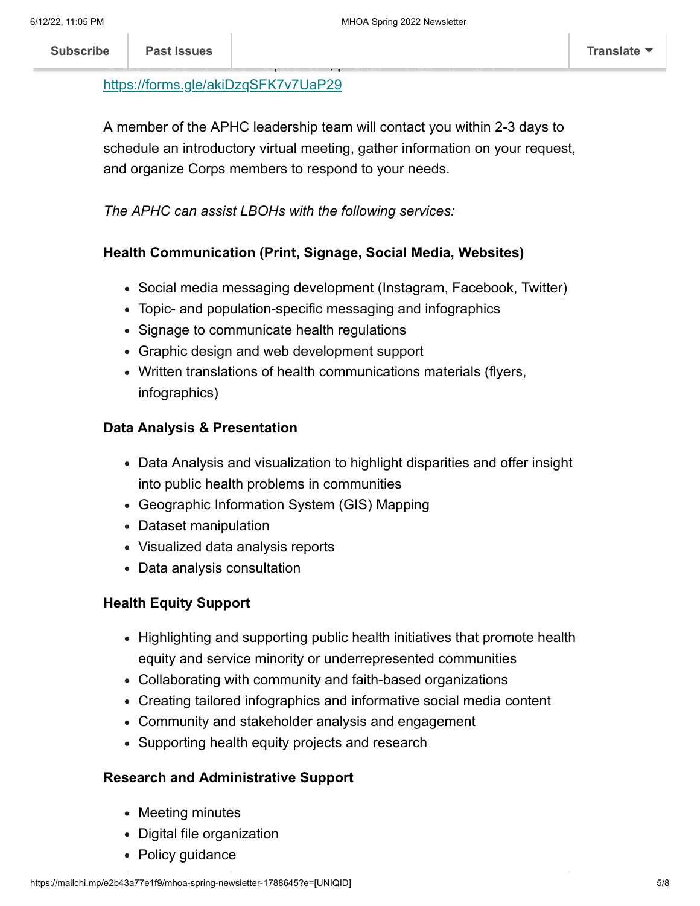#### <https://forms.gle/akiDzqSFK7v7UaP29>

A member of the APHC leadership team will contact you within 2-3 days to schedule an introductory virtual meeting, gather information on your request, and organize Corps members to respond to your needs.

#### *The APHC can assist LBOHs with the following services:*

#### **Health Communication (Print, Signage, Social Media, Websites)**

- Social media messaging development (Instagram, Facebook, Twitter)
- Topic- and population-specific messaging and infographics
- Signage to communicate health regulations
- Graphic design and web development support
- Written translations of health communications materials (flyers, infographics)

#### **Data Analysis & Presentation**

- Data Analysis and visualization to highlight disparities and offer insight into public health problems in communities
- Geographic Information System (GIS) Mapping
- Dataset manipulation
- Visualized data analysis reports
- Data analysis consultation

#### **Health Equity Support**

- Highlighting and supporting public health initiatives that promote health equity and service minority or underrepresented communities
- Collaborating with community and faith-based organizations
- Creating tailored infographics and informative social media content
- Community and stakeholder analysis and engagement
- Supporting health equity projects and research

#### **Research and Administrative Support**

- Meeting minutes
- Digital file organization
- Policy guidance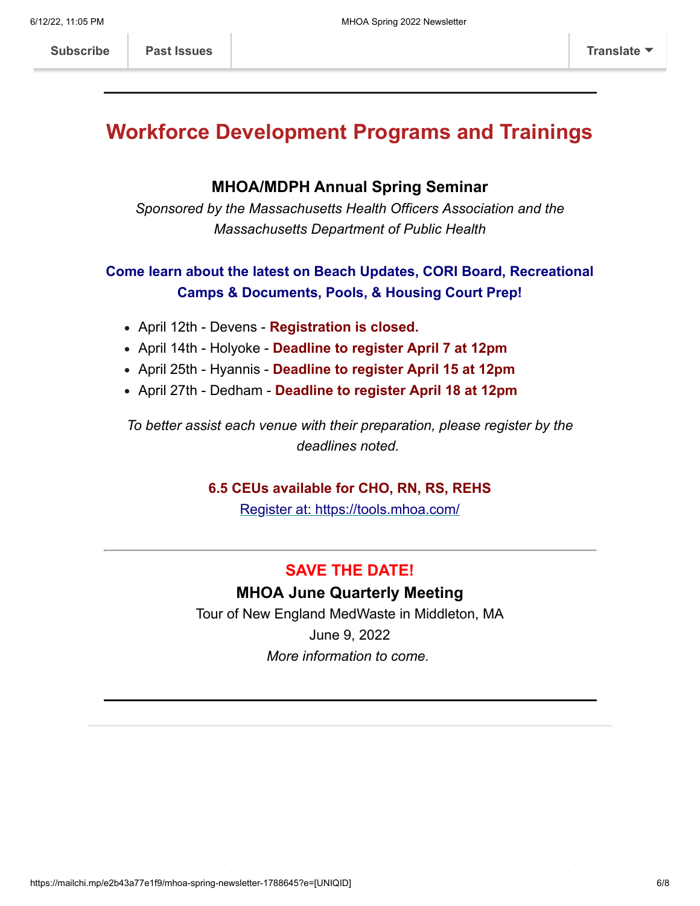# **Workforce Development Programs and Trainings**

### **MHOA/MDPH Annual Spring Seminar**

*Sponsored by the Massachusetts Health Officers Association and the Massachusetts Department of Public Health*

# **Come learn about the latest on Beach Updates, CORI Board, Recreational Camps & Documents, Pools, & Housing Court Prep!**

- April 12th Devens **Registration is closed.**
- April 14th Holyoke **Deadline to register April 7 at 12pm**
- April 25th Hyannis **Deadline to register April 15 at 12pm**
- April 27th Dedham **Deadline to register April 18 at 12pm**

*To better assist each venue with their preparation, please register by the deadlines noted.*

### **6.5 CEUs available for CHO, RN, RS, REHS**

[Register at: https://tools.mhoa.com/](https://tools.mhoa.com/)

# **SAVE THE DATE!**

# **MHOA June Quarterly Meeting**

Tour of New England MedWaste in Middleton, MA June 9, 2022 *More information to come.*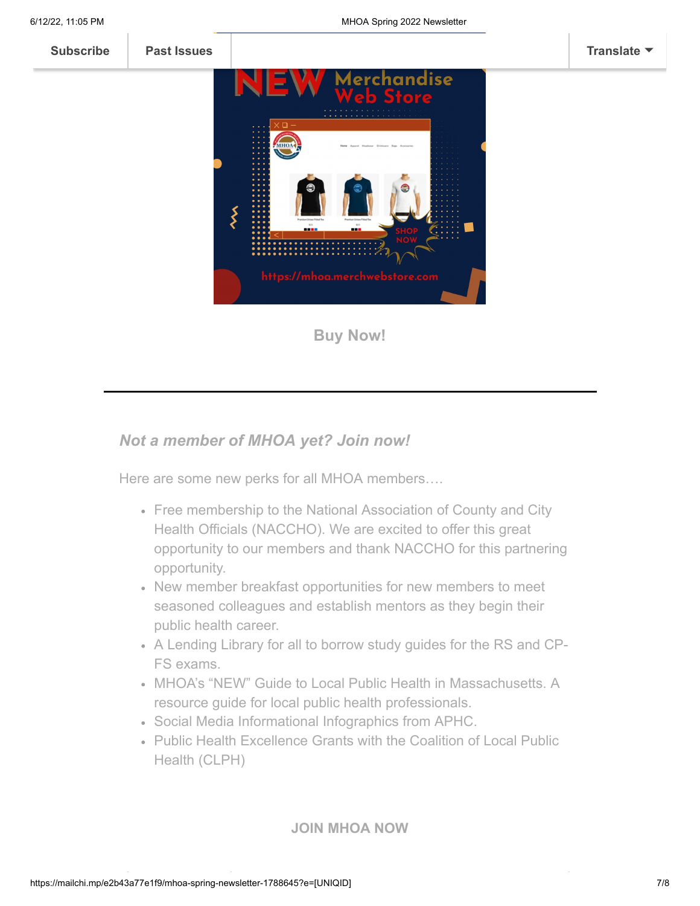

### *Not a member of MHOA yet? Join now!*

Here are some new perks for all MHOA members….

- Free membership to the National Association of County and City Health Officials (NACCHO). We are excited to offer this great opportunity to our members and thank NACCHO for this partnering opportunity.
- New member breakfast opportunities for new members to meet seasoned colleagues and establish mentors as they begin their public health career.
- A Lending Library for all to borrow study guides for the RS and CP-FS exams.
- MHOA's "NEW" Guide to Local Public Health in Massachusetts. A resource guide for local public health professionals.
- Social Media Informational Infographics from APHC.
- Public Health Excellence Grants with the Coalition of Local Public Health (CLPH)

**[JOIN MHOA NOW](https://mhoa.com/mhoa-online-application/)**